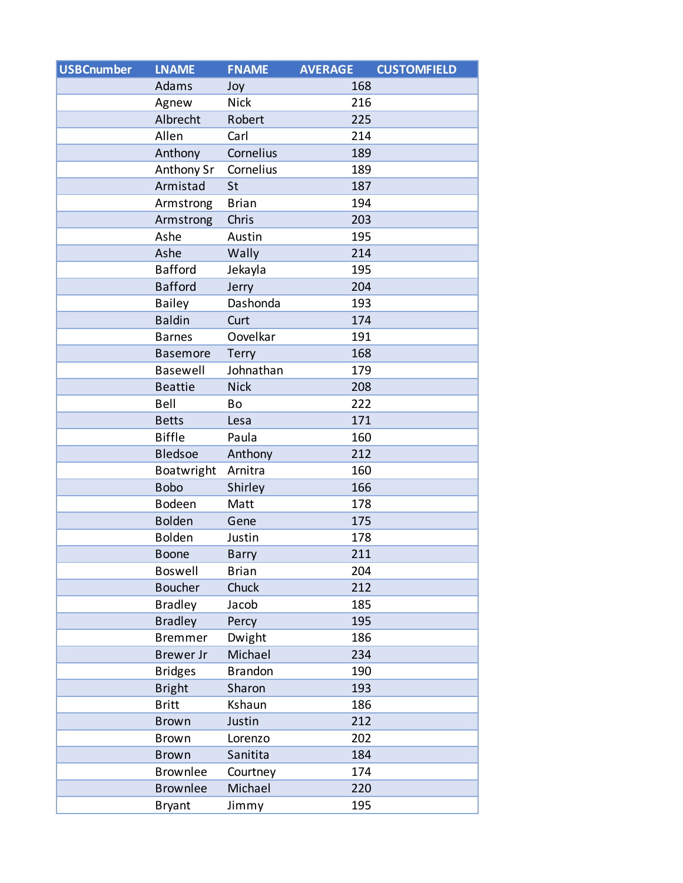| <b>USBCnumber</b> | <b>LNAME</b>     | <b>FNAME</b>   | <b>AVERAGE</b> | <b>CUSTOMFIELD</b> |
|-------------------|------------------|----------------|----------------|--------------------|
|                   | Adams            | Joy            | 168            |                    |
|                   | Agnew            | <b>Nick</b>    | 216            |                    |
|                   | Albrecht         | Robert         | 225            |                    |
|                   | Allen            | Carl           | 214            |                    |
|                   | Anthony          | Cornelius      | 189            |                    |
|                   | Anthony Sr       | Cornelius      | 189            |                    |
|                   | Armistad         | St             | 187            |                    |
|                   | Armstrong        | <b>Brian</b>   | 194            |                    |
|                   | Armstrong        | Chris          | 203            |                    |
|                   | Ashe             | Austin         | 195            |                    |
|                   | Ashe             | Wally          | 214            |                    |
|                   | <b>Bafford</b>   | Jekayla        | 195            |                    |
|                   | <b>Bafford</b>   | Jerry          | 204            |                    |
|                   | <b>Bailey</b>    | Dashonda       | 193            |                    |
|                   | <b>Baldin</b>    | Curt           | 174            |                    |
|                   | <b>Barnes</b>    | Oovelkar       | 191            |                    |
|                   | <b>Basemore</b>  | Terry          | 168            |                    |
|                   | Basewell         | Johnathan      | 179            |                    |
|                   | <b>Beattie</b>   | <b>Nick</b>    | 208            |                    |
|                   | Bell             | Bo             | 222            |                    |
|                   | <b>Betts</b>     | Lesa           | 171            |                    |
|                   | <b>Biffle</b>    | Paula          | 160            |                    |
|                   | <b>Bledsoe</b>   | Anthony        | 212            |                    |
|                   | Boatwright       | Arnitra        | 160            |                    |
|                   | <b>Bobo</b>      | Shirley        | 166            |                    |
|                   | Bodeen           | Matt           | 178            |                    |
|                   | <b>Bolden</b>    | Gene           | 175            |                    |
|                   | <b>Bolden</b>    | Justin         | 178            |                    |
|                   | <b>Boone</b>     | <b>Barry</b>   | 211            |                    |
|                   | <b>Boswell</b>   | <b>Brian</b>   | 204            |                    |
|                   | <b>Boucher</b>   | Chuck          | 212            |                    |
|                   | <b>Bradley</b>   | Jacob          | 185            |                    |
|                   | <b>Bradley</b>   | Percy          | 195            |                    |
|                   | <b>Bremmer</b>   | Dwight         | 186            |                    |
|                   | <b>Brewer Jr</b> | Michael        | 234            |                    |
|                   | <b>Bridges</b>   | <b>Brandon</b> | 190            |                    |
|                   | <b>Bright</b>    | Sharon         | 193            |                    |
|                   | <b>Britt</b>     | Kshaun         | 186            |                    |
|                   | <b>Brown</b>     | Justin         | 212            |                    |
|                   | <b>Brown</b>     | Lorenzo        | 202            |                    |
|                   | <b>Brown</b>     | Sanitita       | 184            |                    |
|                   | <b>Brownlee</b>  | Courtney       | 174            |                    |
|                   | <b>Brownlee</b>  | Michael        | 220            |                    |
|                   | <b>Bryant</b>    | Jimmy          | 195            |                    |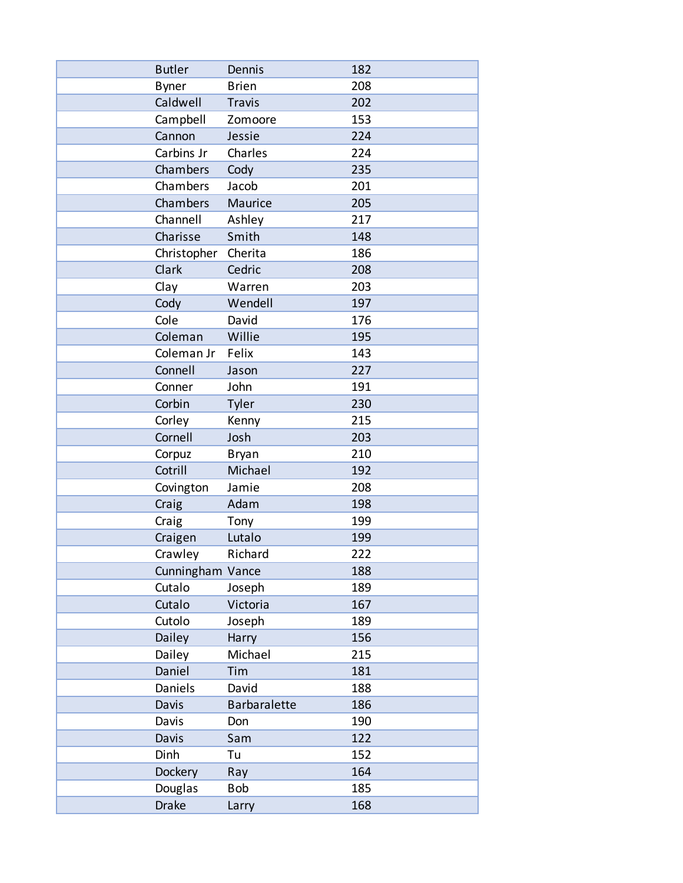| <b>Butler</b>    | Dennis        | 182 |
|------------------|---------------|-----|
| <b>Byner</b>     | <b>Brien</b>  | 208 |
| Caldwell         | <b>Travis</b> | 202 |
| Campbell         | Zomoore       | 153 |
| Cannon           | Jessie        | 224 |
| Carbins Jr       | Charles       | 224 |
| Chambers         | Cody          | 235 |
| Chambers         | Jacob         | 201 |
| Chambers         | Maurice       | 205 |
| Channell         | Ashley        | 217 |
| Charisse         | Smith         | 148 |
| Christopher      | Cherita       | 186 |
| Clark            | Cedric        | 208 |
| Clay             | Warren        | 203 |
| Cody             | Wendell       | 197 |
| Cole             | David         | 176 |
| Coleman          | Willie        | 195 |
| Coleman Jr       | Felix         | 143 |
| Connell          | Jason         | 227 |
| Conner           | John          | 191 |
| Corbin           | Tyler         | 230 |
| Corley           | Kenny         | 215 |
| Cornell          | Josh          | 203 |
| Corpuz           | <b>Bryan</b>  | 210 |
| Cotrill          | Michael       | 192 |
| Covington        | Jamie         | 208 |
| Craig            | Adam          | 198 |
| Craig            | Tony          | 199 |
| Craigen          | Lutalo        | 199 |
| Crawley          | Richard       | 222 |
| Cunningham Vance |               | 188 |
| Cutalo           | Joseph        | 189 |
| Cutalo           | Victoria      | 167 |
| Cutolo           | Joseph        | 189 |
| Dailey           | Harry         | 156 |
| Dailey           | Michael       | 215 |
| Daniel           | Tim           | 181 |
| Daniels          | David         | 188 |
| Davis            | Barbaralette  | 186 |
| Davis            | Don           | 190 |
| Davis            | Sam           | 122 |
| Dinh             | Tu            | 152 |
| Dockery          | Ray           | 164 |
| Douglas          | Bob           | 185 |
| <b>Drake</b>     | Larry         | 168 |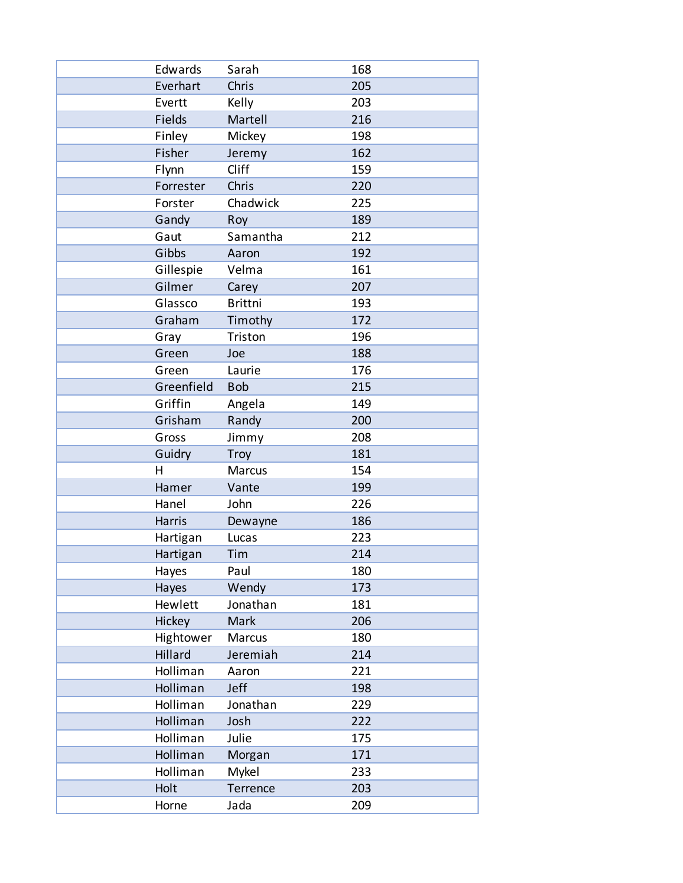| Edwards    | Sarah          | 168 |
|------------|----------------|-----|
| Everhart   | Chris          | 205 |
| Evertt     | Kelly          | 203 |
| Fields     | Martell        | 216 |
| Finley     | Mickey         | 198 |
| Fisher     | Jeremy         | 162 |
| Flynn      | Cliff          | 159 |
| Forrester  | Chris          | 220 |
| Forster    | Chadwick       | 225 |
| Gandy      | Roy            | 189 |
| Gaut       | Samantha       | 212 |
| Gibbs      | Aaron          | 192 |
| Gillespie  | Velma          | 161 |
| Gilmer     | Carey          | 207 |
| Glassco    | <b>Brittni</b> | 193 |
| Graham     | Timothy        | 172 |
| Gray       | Triston        | 196 |
| Green      | Joe            | 188 |
| Green      | Laurie         | 176 |
| Greenfield | <b>Bob</b>     | 215 |
| Griffin    | Angela         | 149 |
| Grisham    | Randy          | 200 |
| Gross      | Jimmy          | 208 |
| Guidry     | <b>Troy</b>    | 181 |
| н          | Marcus         | 154 |
| Hamer      | Vante          | 199 |
| Hanel      | John           | 226 |
| Harris     | Dewayne        | 186 |
| Hartigan   | Lucas          | 223 |
| Hartigan   | Tim            | 214 |
| Hayes      | Paul           | 180 |
| Hayes      | Wendy          | 173 |
| Hewlett    | Jonathan       | 181 |
| Hickey     | Mark           | 206 |
| Hightower  | Marcus         | 180 |
| Hillard    | Jeremiah       | 214 |
| Holliman   | Aaron          | 221 |
| Holliman   | Jeff           | 198 |
| Holliman   | Jonathan       | 229 |
| Holliman   | Josh           | 222 |
| Holliman   | Julie          | 175 |
| Holliman   | Morgan         | 171 |
| Holliman   | Mykel          | 233 |
| Holt       | Terrence       | 203 |
| Horne      | Jada           | 209 |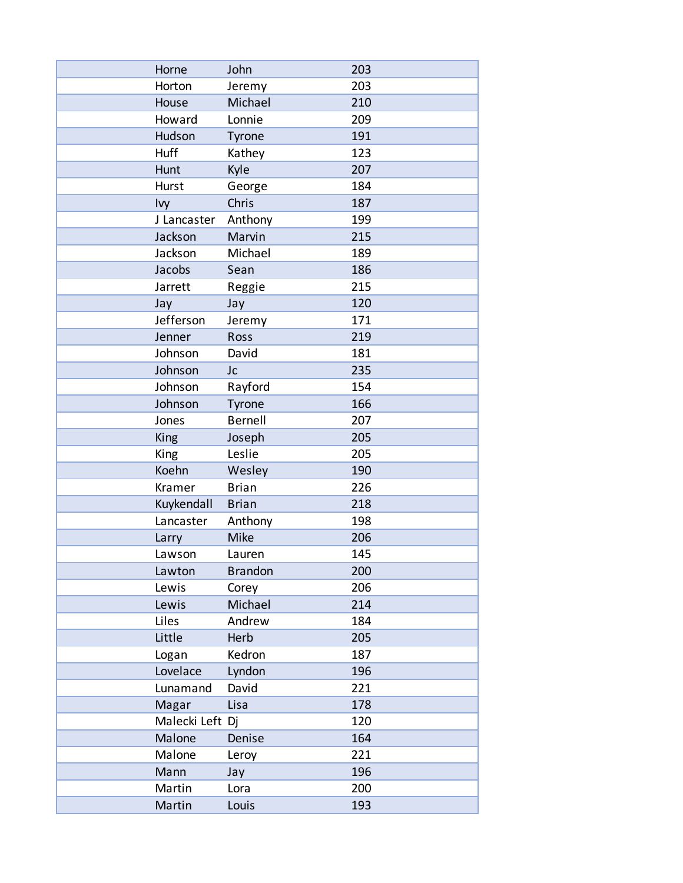| Horne           | John           | 203 |
|-----------------|----------------|-----|
| Horton          | Jeremy         | 203 |
| House           | Michael        | 210 |
| Howard          | Lonnie         | 209 |
| Hudson          | Tyrone         | 191 |
| Huff            | Kathey         | 123 |
| Hunt            | Kyle           | 207 |
| Hurst           | George         | 184 |
| Ivy             | Chris          | 187 |
| J Lancaster     | Anthony        | 199 |
| Jackson         | Marvin         | 215 |
| Jackson         | Michael        | 189 |
| Jacobs          | Sean           | 186 |
| Jarrett         | Reggie         | 215 |
| Jay             | Jay            | 120 |
| Jefferson       | Jeremy         | 171 |
| Jenner          | Ross           | 219 |
| Johnson         | David          | 181 |
| Johnson         | Jc             | 235 |
| Johnson         | Rayford        | 154 |
| Johnson         | Tyrone         | 166 |
| Jones           | <b>Bernell</b> | 207 |
| King            | Joseph         | 205 |
| King            | Leslie         | 205 |
| Koehn           | Wesley         | 190 |
| Kramer          | <b>Brian</b>   | 226 |
| Kuykendall      | <b>Brian</b>   | 218 |
| Lancaster       | Anthony        | 198 |
| Larry           | Mike           | 206 |
| Lawson          | Lauren         | 145 |
| Lawton          | <b>Brandon</b> | 200 |
| Lewis           | Corey          | 206 |
| Lewis           | Michael        | 214 |
| Liles           | Andrew         | 184 |
| Little          | Herb           | 205 |
| Logan           | Kedron         | 187 |
| Lovelace        | Lyndon         | 196 |
| Lunamand        | David          | 221 |
| Magar           | Lisa           | 178 |
| Malecki Left Dj |                | 120 |
| Malone          | Denise         | 164 |
| Malone          | Leroy          | 221 |
| Mann            | Jay            | 196 |
| Martin          | Lora           | 200 |
| Martin          | Louis          | 193 |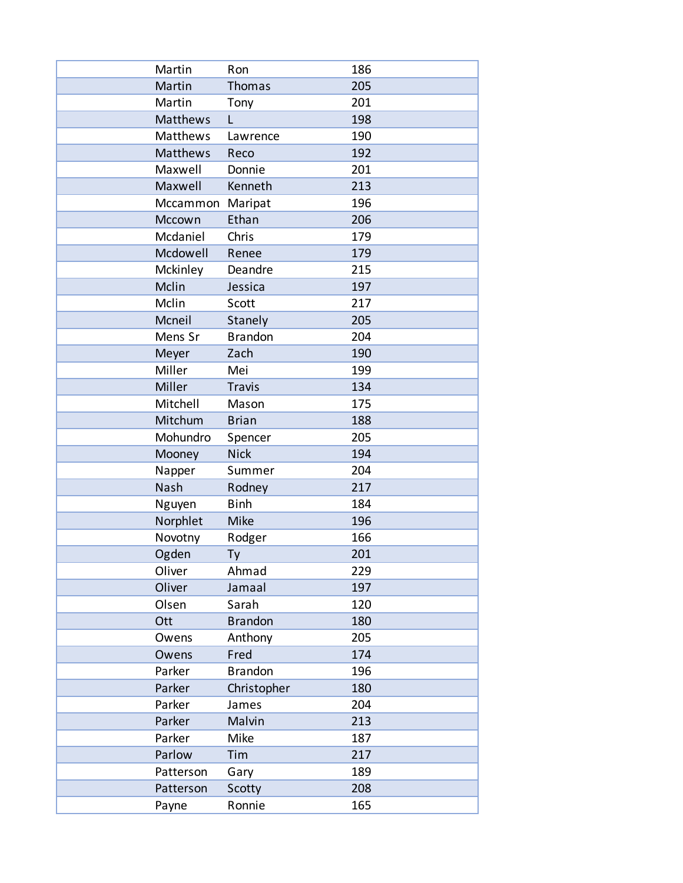| Martin           | Ron            | 186 |
|------------------|----------------|-----|
| Martin           | <b>Thomas</b>  | 205 |
| Martin           | Tony           | 201 |
| Matthews         | L              | 198 |
| Matthews         | Lawrence       | 190 |
| Matthews         | Reco           | 192 |
| Maxwell          | Donnie         | 201 |
| Maxwell          | Kenneth        | 213 |
| Mccammon Maripat |                | 196 |
| Mccown           | Ethan          | 206 |
| Mcdaniel         | Chris          | 179 |
| Mcdowell         | Renee          | 179 |
| Mckinley         | Deandre        | 215 |
| Mclin            | Jessica        | 197 |
| Mclin            | Scott          | 217 |
| Mcneil           | Stanely        | 205 |
| Mens Sr          | <b>Brandon</b> | 204 |
| Meyer            | Zach           | 190 |
| Miller           | Mei            | 199 |
| Miller           | <b>Travis</b>  | 134 |
| Mitchell         | Mason          | 175 |
| Mitchum          | <b>Brian</b>   | 188 |
| Mohundro         | Spencer        | 205 |
| Mooney           | <b>Nick</b>    | 194 |
| Napper           | Summer         | 204 |
| Nash             | Rodney         | 217 |
| Nguyen           | <b>Binh</b>    | 184 |
| Norphlet         | Mike           | 196 |
| Novotny          | Rodger         | 166 |
| Ogden            | Ty             | 201 |
| Oliver           | Ahmad          | 229 |
| Oliver           | Jamaal         | 197 |
| Olsen            | Sarah          | 120 |
| Ott              | <b>Brandon</b> | 180 |
| Owens            | Anthony        | 205 |
| Owens            | Fred           | 174 |
| Parker           | <b>Brandon</b> | 196 |
| Parker           | Christopher    | 180 |
| Parker           | James          | 204 |
| Parker           | Malvin         | 213 |
| Parker           | Mike           | 187 |
| Parlow           | Tim            | 217 |
| Patterson        | Gary           | 189 |
| Patterson        | Scotty         | 208 |
| Payne            | Ronnie         | 165 |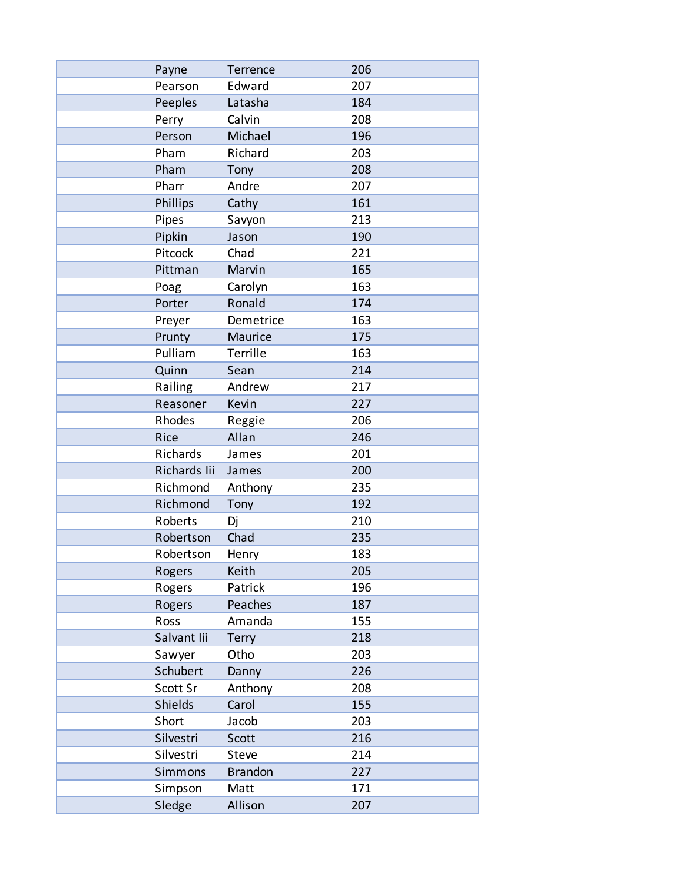| Payne          | Terrence       | 206 |
|----------------|----------------|-----|
| Pearson        | Edward         | 207 |
| Peeples        | Latasha        | 184 |
| Perry          | Calvin         | 208 |
| Person         | Michael        | 196 |
| Pham           | Richard        | 203 |
| Pham           | Tony           | 208 |
| Pharr          | Andre          | 207 |
| Phillips       | Cathy          | 161 |
| Pipes          | Savyon         | 213 |
| Pipkin         | Jason          | 190 |
| Pitcock        | Chad           | 221 |
| Pittman        | Marvin         | 165 |
| Poag           | Carolyn        | 163 |
| Porter         | Ronald         | 174 |
| Preyer         | Demetrice      | 163 |
| Prunty         | Maurice        | 175 |
| Pulliam        | Terrille       | 163 |
| Quinn          | Sean           | 214 |
| Railing        | Andrew         | 217 |
| Reasoner       | Kevin          | 227 |
| Rhodes         | Reggie         | 206 |
| Rice           | Allan          | 246 |
| Richards       | James          | 201 |
| Richards lii   | James          | 200 |
| Richmond       | Anthony        | 235 |
| Richmond       | Tony           | 192 |
| Roberts        | Dj             | 210 |
| Robertson      | Chad           | 235 |
| Robertson      | Henry          | 183 |
| Rogers         | Keith          | 205 |
| Rogers         | Patrick        | 196 |
| Rogers         | Peaches        | 187 |
| Ross           | Amanda         | 155 |
| Salvant lii    | <b>Terry</b>   | 218 |
| Sawyer         | Otho           | 203 |
| Schubert       | Danny          | 226 |
| Scott Sr       | Anthony        | 208 |
| <b>Shields</b> | Carol          | 155 |
| Short          | Jacob          | 203 |
| Silvestri      | Scott          | 216 |
| Silvestri      | Steve          | 214 |
| Simmons        | <b>Brandon</b> | 227 |
| Simpson        | Matt           | 171 |
| Sledge         | Allison        | 207 |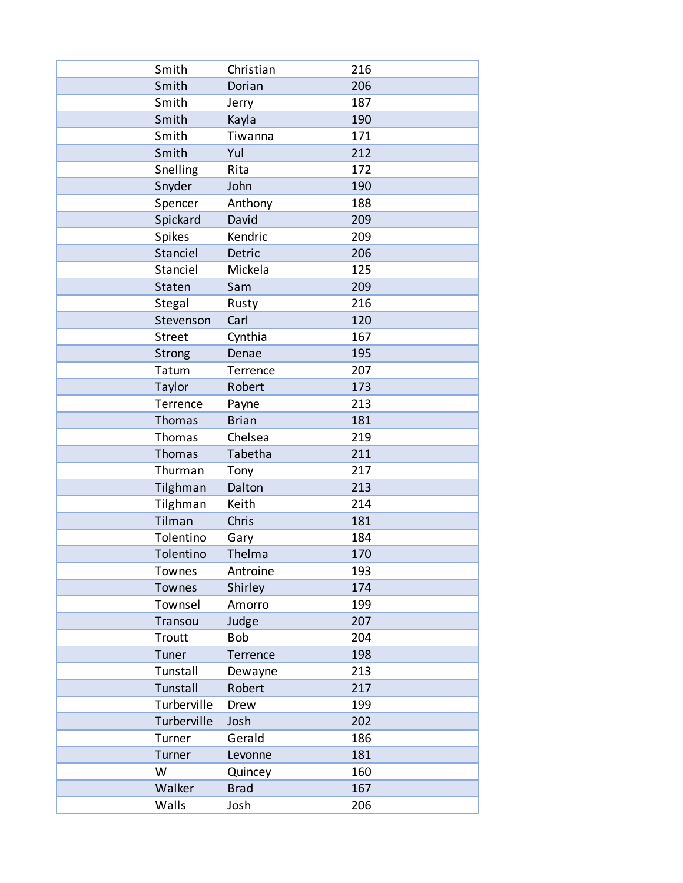| Smith         | Christian    | 216 |
|---------------|--------------|-----|
| Smith         | Dorian       | 206 |
| Smith         | Jerry        | 187 |
| Smith         | Kayla        | 190 |
| Smith         | Tiwanna      | 171 |
| Smith         | Yul          | 212 |
| Snelling      | Rita         | 172 |
| Snyder        | John         | 190 |
| Spencer       | Anthony      | 188 |
| Spickard      | David        | 209 |
| Spikes        | Kendric      | 209 |
| Stanciel      | Detric       | 206 |
| Stanciel      | Mickela      | 125 |
| Staten        | Sam          | 209 |
| Stegal        | Rusty        | 216 |
| Stevenson     | Carl         | 120 |
| <b>Street</b> | Cynthia      | 167 |
| <b>Strong</b> | Denae        | 195 |
| Tatum         | Terrence     | 207 |
| Taylor        | Robert       | 173 |
| Terrence      | Payne        | 213 |
| Thomas        | <b>Brian</b> | 181 |
| Thomas        | Chelsea      | 219 |
| Thomas        | Tabetha      | 211 |
| Thurman       | Tony         | 217 |
| Tilghman      | Dalton       | 213 |
| Tilghman      | Keith        | 214 |
| Tilman        | Chris        | 181 |
| Tolentino     | Gary         | 184 |
| Tolentino     | Thelma       | 170 |
| Townes        | Antroine     | 193 |
| Townes        | Shirley      | 174 |
| Townsel       | Amorro       | 199 |
| Transou       | Judge        | 207 |
| Troutt        | <b>Bob</b>   | 204 |
| Tuner         | Terrence     | 198 |
| Tunstall      | Dewayne      | 213 |
| Tunstall      | Robert       | 217 |
| Turberville   | Drew         | 199 |
| Turberville   | Josh         | 202 |
| Turner        | Gerald       | 186 |
| Turner        | Levonne      | 181 |
| W             | Quincey      | 160 |
| Walker        | <b>Brad</b>  | 167 |
| Walls         | Josh         | 206 |